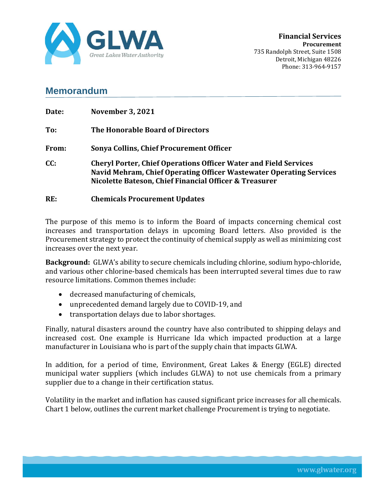

## **Memorandum**

| Date: | <b>November 3, 2021</b>                                                                                                                                                                                  |
|-------|----------------------------------------------------------------------------------------------------------------------------------------------------------------------------------------------------------|
| To:   | <b>The Honorable Board of Directors</b>                                                                                                                                                                  |
| From: | <b>Sonya Collins, Chief Procurement Officer</b>                                                                                                                                                          |
| CC:   | <b>Cheryl Porter, Chief Operations Officer Water and Field Services</b><br>Navid Mehram, Chief Operating Officer Wastewater Operating Services<br>Nicolette Bateson, Chief Financial Officer & Treasurer |
| RE:   | <b>Chemicals Procurement Updates</b>                                                                                                                                                                     |

The purpose of this memo is to inform the Board of impacts concerning chemical cost increases and transportation delays in upcoming Board letters. Also provided is the Procurement strategy to protect the continuity of chemical supply as well as minimizing cost increases over the next year.

**Background:** GLWA's ability to secure chemicals including chlorine, sodium hypo-chloride, and various other chlorine-based chemicals has been interrupted several times due to raw resource limitations. Common themes include:

- decreased manufacturing of chemicals,
- unprecedented demand largely due to COVID-19, and
- transportation delays due to labor shortages.

Finally, natural disasters around the country have also contributed to shipping delays and increased cost. One example is Hurricane Ida which impacted production at a large manufacturer in Louisiana who is part of the supply chain that impacts GLWA.

In addition, for a period of time, Environment, Great Lakes & Energy (EGLE) directed municipal water suppliers (which includes GLWA) to not use chemicals from a primary supplier due to a change in their certification status.

Volatility in the market and inflation has caused significant price increases for all chemicals. Chart 1 below, outlines the current market challenge Procurement is trying to negotiate.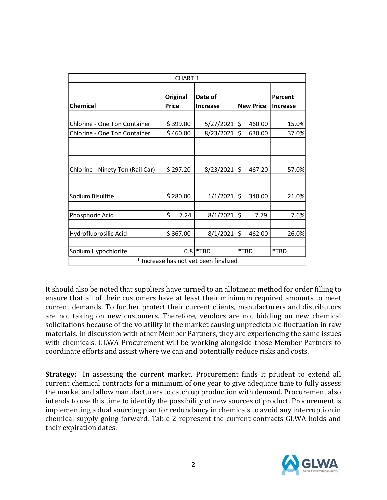| <b>CHART 1</b>                                                      |                                 |                            |                              |                            |  |  |  |  |
|---------------------------------------------------------------------|---------------------------------|----------------------------|------------------------------|----------------------------|--|--|--|--|
| <b>Chemical</b>                                                     | <b>Original</b><br><b>Price</b> | Date of<br><b>Increase</b> | <b>New Price</b>             | Percent<br><b>Increase</b> |  |  |  |  |
| <b>Chlorine - One Ton Container</b><br>Chlorine - One Ton Container | \$399.00<br>\$460.00            | 5/27/2021<br>8/23/2021     | \$<br>460.00<br>\$<br>630.00 | 15.0%<br>37.0%             |  |  |  |  |
| Chlorine - Ninety Ton (Rail Car)                                    | \$297.20                        | $8/23/2021$ \$             | 467.20                       | 57.0%                      |  |  |  |  |
| Sodium Bisulfite                                                    | \$280.00                        | 1/1/2021                   | \$<br>340.00                 | 21.0%                      |  |  |  |  |
| Phosphoric Acid                                                     | \$<br>7.24                      | 8/1/2021                   | \$<br>7.79                   | 7.6%                       |  |  |  |  |
| Hydrofluorosilic Acid                                               | \$367.00                        | 8/1/2021                   | \$<br>462.00                 | 26.0%                      |  |  |  |  |
| Sodium Hypochlorite                                                 | 0.8                             | *TBD                       | *TBD                         | *TBD                       |  |  |  |  |

\* Increase has not yet been finalized

It should also be noted that suppliers have turned to an allotment method for order filling to ensure that all of their customers have at least their minimum required amounts to meet current demands. To further protect their current clients, manufacturers and distributors are not taking on new customers. Therefore, vendors are not bidding on new chemical solicitations because of the volatility in the market causing unpredictable fluctuation in raw materials. In discussion with other Member Partners, they are experiencing the same issues with chemicals. GLWA Procurement will be working alongside those Member Partners to coordinate efforts and assist where we can and potentially reduce risks and costs.

**Strategy:** In assessing the current market, Procurement finds it prudent to extend all current chemical contracts for a minimum of one year to give adequate time to fully assess the market and allow manufacturers to catch up production with demand. Procurement also intends to use this time to identify the possibility of new sources of product. Procurement is implementing a dual sourcing plan for redundancy in chemicals to avoid any interruption in chemical supply going forward. Table 2 represent the current contracts GLWA holds and their expiration dates.